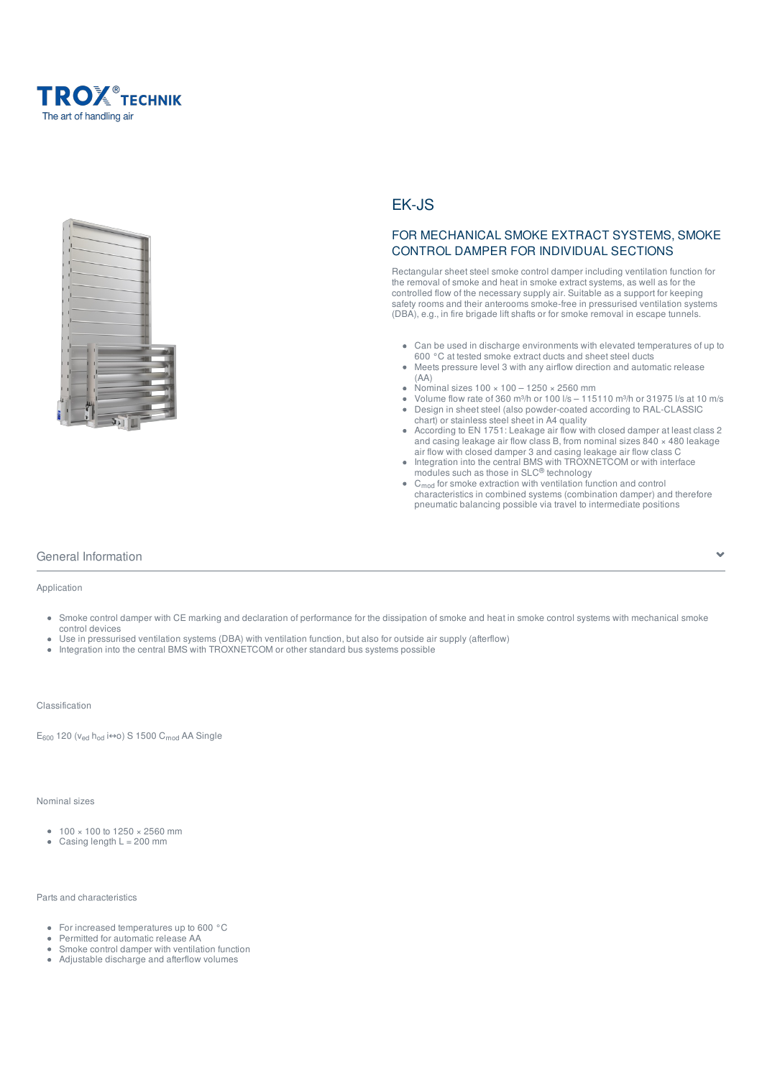



# EK-JS

# FOR MECHANICAL SMOKE EXTRACT SYSTEMS, SMOKE CONTROL DAMPER FOR INDIVIDUAL SECTIONS

Rectangular sheet steel smoke control damper including ventilation function for the removal of smoke and heat in smoke extract systems, as well as for the controlled flow of the necessary supply air. Suitable as a support for keeping safety rooms and their anterooms smoke-free in pressurised ventilation systems (DBA), e.g., in fire brigade lift shafts or for smoke removal in escape tunnels.

- Can be used in discharge environments with elevated temperatures of up to 600 °C at tested smoke extract ducts and sheet steel ducts
- $\bullet$ Meets pressure level 3 with any airflow direction and automatic release (AA)
- Nominal sizes 100 × 100 1250 × 2560 mm
- Volume flow rate of 360 m³/h or 100 l/s 115110 m³/h or 31975 l/s at 10 m/s Design in sheet steel (also powder-coated according to RAL-CLASSIC chart) or stainless steel sheet in A4 quality
- According to EN 1751: Leakage air flow with closed damper at least class 2 and casing leakage air flow class B, from nominal sizes 840 × 480 leakage air flow with closed damper 3 and casing leakage air flow class C
- Integration into the central BMS with TROXNETCOM or with interface modules such as those in SLC® technology
- $C_{\text{mod}}$  for smoke extraction with ventilation function and control characteristics in combined systems (combination damper) and therefore pneumatic balancing possible via travel to intermediate positions

## General Information

Application

- Smoke control damper with CE marking and declaration of performance for the dissipation of smoke and heat in smoke control systems with mechanical smoke control devices
- Use in pressurised ventilation systems (DBA) with ventilation function, but also for outside air supply (afterflow)
- $\bullet$ Integration into the central BMS with TROXNETCOM or other standard bus systems possible

## Classification

 $\mathsf{E}_{600}$  120 (v<sub>ed</sub> h<sub>od</sub> i⇔o) S 1500 C<sub>mod</sub> AA Single

Nominal sizes

- $\bullet$  100  $\times$  100 to 1250  $\times$  2560 mm
- Casing length  $L = 200$  mm

#### Parts and characteristics

- For increased temperatures up to 600 °C
- Permitted for automatic release AA  $\bullet$
- Smoke control damper with ventilation function
- Adjustable discharge and afterflow volumes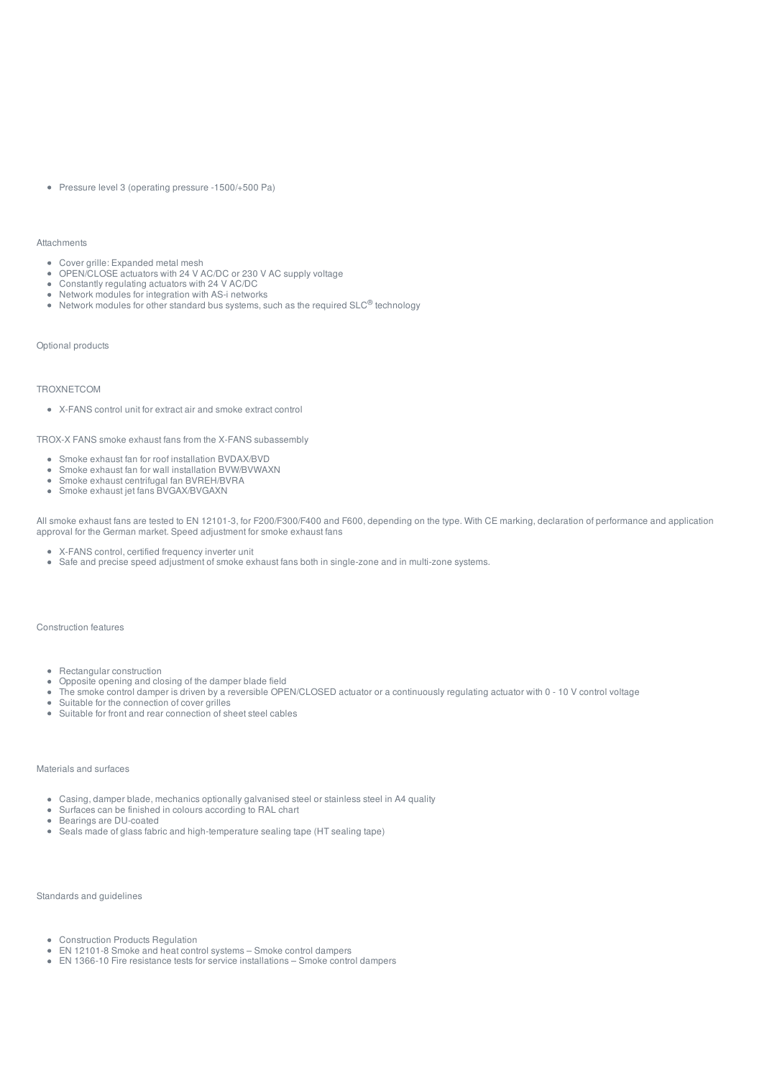Pressure level 3 (operating pressure -1500/+500 Pa)

#### Attachments

- Cover grille: Expanded metal mesh
- OPEN/CLOSE actuators with 24 V AC/DC or 230 V AC supply voltage
- Constantly regulating actuators with 24 V AC/DC
- Network modules for integration with AS-i networks Network modules for other standard bus systems, such as the required  $SLC^{\circledast}$  technology

#### Optional products

## TROXNETCOM

X-FANS control unit for extract air and smoke extract control

TROX-X FANS smoke exhaust fans from the X-FANS subassembly

- Smoke exhaust fan for roof installation BVDAX/BVD
- $\bullet$ Smoke exhaust fan for wall installation BVW/BVWAXN
- Smoke exhaust centrifugal fan BVREH/BVRA  $\bullet$
- Smoke exhaust jet fans BVGAX/BVGAXN

All smoke exhaust fans are tested to EN 12101-3, for F200/F300/F400 and F600, depending on the type. With CE marking, declaration of performance and application approval for the German market. Speed adjustment for smoke exhaust fans

- X-FANS control, certified frequency inverter unit
- Safe and precise speed adjustment of smoke exhaust fans both in single-zone and in multi-zone systems.

Construction features

- Rectangular construction
- Opposite opening and closing of the damper blade field  $\bullet$
- The smoke control damper is driven by a reversible OPEN/CLOSED actuator or a continuously regulating actuator with 0 10 V control voltage  $\bullet$
- Suitable for the connection of cover grilles
- Suitable for front and rear connection of sheet steel cables

#### Materials and surfaces

- Casing, damper blade, mechanics optionally galvanised steel or stainless steel in A4 quality
- Surfaces can be finished in colours according to RAL chart
- Bearings are DU-coated
- Seals made of glass fabric and high-temperature sealing tape (HT sealing tape)

Standards and guidelines

- Construction Products Regulation
- EN 12101-8 Smoke and heat control systems Smoke control dampers
- EN 1366-10 Fire resistance tests for service installations Smoke control dampers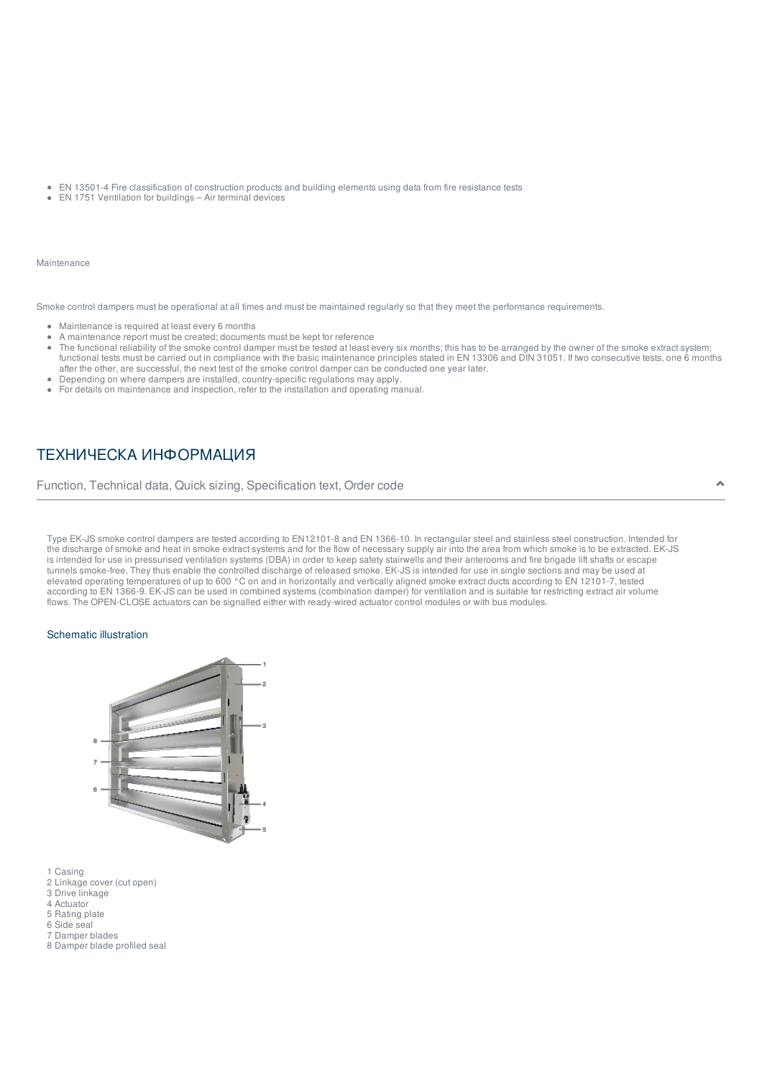- EN 13501-4 Fire classification of construction products and building elements using data from fire resistance tests
- EN 1751 Ventilation for buildings Air terminal devices

#### Maintenance

Smoke control dampers must be operational at all times and must be maintained regularly so that they meet the performance requirements.

- Maintenance is required at least every 6 months
- A maintenance report must be created; documents must be kept for reference
- $\bullet$ The functional reliability of the smoke control damper must be tested at least every six months; this has to be arranged by the owner of the smoke extract system; functional tests must be carried out in compliance with the basic maintenance principles stated in EN 13306 and DIN 31051. If two consecutive tests, one 6 months after the other, are successful, the next test of the smoke control damper can be conducted one year later.
- Depending on where dampers are installed, country-specific regulations may apply.
- For details on maintenance and inspection, refer to the installation and operating manual.

# ТЕХНИЧЕСКА ИНФОРМАЦИЯ

Function, Technical data, Quick sizing, Specification text, Order code

Type EK-JS smoke control dampers are tested according to EN12101-8 and EN 1366-10. In rectangular steel and stainless steel construction. Intended for the discharge of smoke and heat in smoke extract systems and for the flow of necessary supply air into the area from which smoke is to be extracted. EK-JS is intended for use in pressurised ventilation systems (DBA) in order to keep safety stairwells and their anterooms and fire brigade lift shafts or escape tunnels smoke-free. They thus enable the controlled discharge of released smoke. EK-JS is intended for use in single sections and may be used at elevated operating temperatures of up to 600 °C on and in horizontally and vertically aligned smoke extract ducts according to EN 12101-7, tested according to EN 1366-9. EK-JS can be used in combined systems (combination damper) for ventilation and is suitable for restricting extract air volume flows. The OPEN-CLOSE actuators can be signalled either with ready-wired actuator control modules or with bus modules.

#### Schematic illustration



- 1 Casing
- 2 Linkage cover (cut open)
- 3 Drive linkage
- 4 Actuator
- 5 Rating plate 6 Side seal
- 7 Damper blades
- 8 Damper blade profiled seal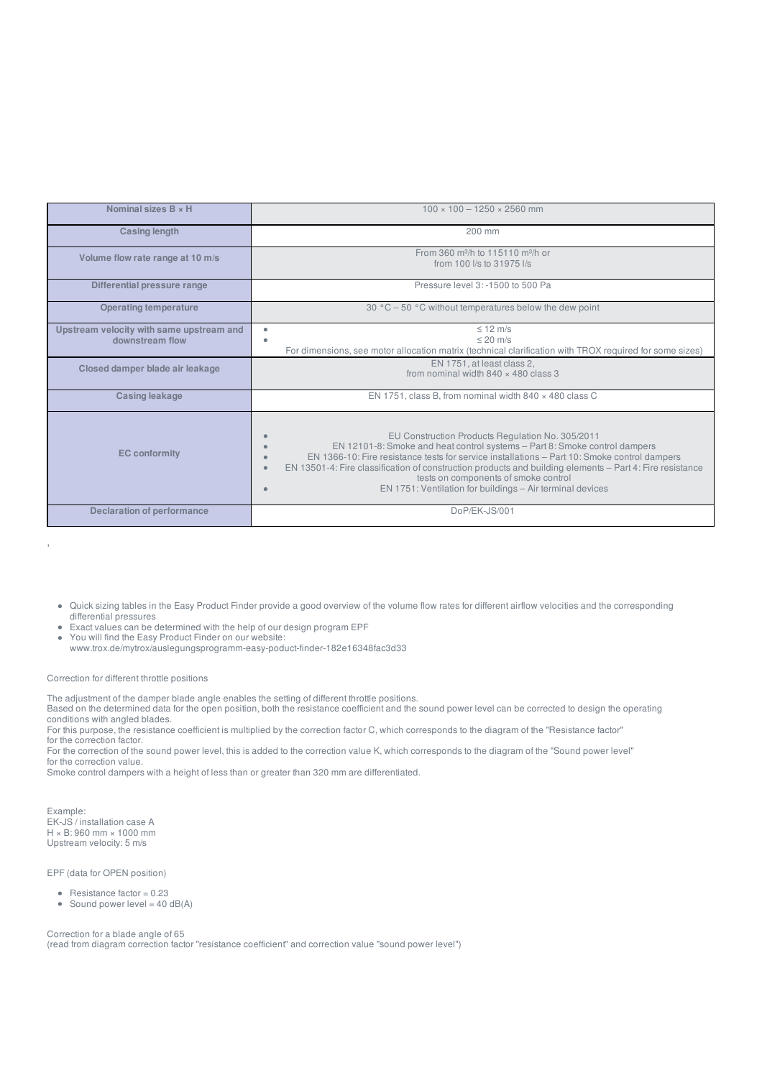| Nominal sizes B x H                                         | $100 \times 100 - 1250 \times 2560$ mm                                                                                                                                                                                                                                                                                                                                                                                                                       |
|-------------------------------------------------------------|--------------------------------------------------------------------------------------------------------------------------------------------------------------------------------------------------------------------------------------------------------------------------------------------------------------------------------------------------------------------------------------------------------------------------------------------------------------|
| <b>Casing length</b>                                        | $200$ mm                                                                                                                                                                                                                                                                                                                                                                                                                                                     |
| Volume flow rate range at 10 m/s                            | From 360 m <sup>3</sup> /h to 115110 m <sup>3</sup> /h or<br>from 100 l/s to 31975 l/s                                                                                                                                                                                                                                                                                                                                                                       |
| Differential pressure range                                 | Pressure level 3: -1500 to 500 Pa                                                                                                                                                                                                                                                                                                                                                                                                                            |
| <b>Operating temperature</b>                                | 30 $\degree$ C – 50 $\degree$ C without temperatures below the dew point                                                                                                                                                                                                                                                                                                                                                                                     |
| Upstream velocity with same upstream and<br>downstream flow | $< 12$ m/s<br>$\bullet$<br>$\leq$ 20 m/s<br>For dimensions, see motor allocation matrix (technical clarification with TROX required for some sizes)                                                                                                                                                                                                                                                                                                          |
| Closed damper blade air leakage                             | EN 1751, at least class 2,<br>from nominal width $840 \times 480$ class 3                                                                                                                                                                                                                                                                                                                                                                                    |
| Casing leakage                                              | EN 1751, class B, from nominal width 840 $\times$ 480 class C                                                                                                                                                                                                                                                                                                                                                                                                |
| <b>EC</b> conformity                                        | EU Construction Products Regulation No. 305/2011<br>EN 12101-8: Smoke and heat control systems - Part 8: Smoke control dampers<br>EN 1366-10: Fire resistance tests for service installations - Part 10: Smoke control dampers<br>EN 13501-4: Fire classification of construction products and building elements - Part 4: Fire resistance<br>$\bullet$<br>tests on components of smoke control<br>EN 1751: Ventilation for buildings - Air terminal devices |
| <b>Declaration of performance</b>                           | DoP/EK-JS/001                                                                                                                                                                                                                                                                                                                                                                                                                                                |

- Quick sizing tables in the Easy Product Finder provide a good overview of the volume flow rates for different airflow velocities and the corresponding differential pressures
- $\bullet$ Exact values can be determined with the help of our design program EPF  $\bullet$ You will find the Easy Product Finder on our website:
- www.trox.de/mytrox/auslegungsprogramm-easy-poduct-finder-182e16348fac3d33

Correction for different throttle positions

,

The adjustment of the damper blade angle enables the setting of different throttle positions.

Based on the determined data for the open position, both the resistance coefficient and the sound power level can be corrected to design the operating conditions with angled blades.

For this purpose, the resistance coefficient is multiplied by the correction factor C, which corresponds to the diagram of the "Resistance factor" for the correction factor.

For the correction of the sound power level, this is added to the correction value K, which corresponds to the diagram of the "Sound power level" for the correction value.

Smoke control dampers with a height of less than or greater than 320 mm are differentiated.

Example: EK-JS / installation case A H × B: 960 mm × 1000 mm Upstream velocity: 5 m/s

EPF (data for OPEN position)

- Resistance factor  $= 0.23$
- Sound power level =  $40$  dB(A)

Correction for a blade angle of 65

(read from diagram correction factor "resistance coefficient" and correction value "sound power level")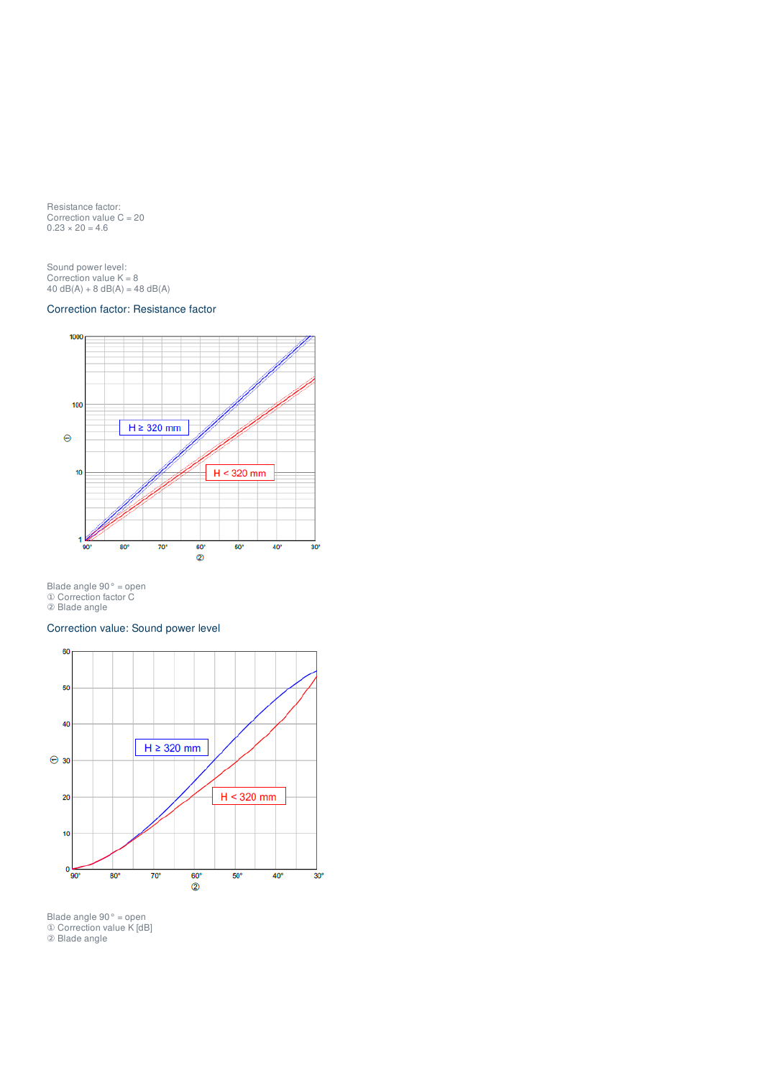Resistance factor: Correction value  $C = 20$  $0.23 \times 20 = 4.6$ 

Sound power level: Correction value  $K = 8$  $40 \text{ dB}(A) + 8 \text{ dB}(A) = 48 \text{ dB}(A)$ 

## Correction factor: Resistance factor



Blade angle 90° = open ① Correction factor C ② Blade angle

# Correction value: Sound power level



Blade angle 90° = open ① Correction value K [dB]

② Blade angle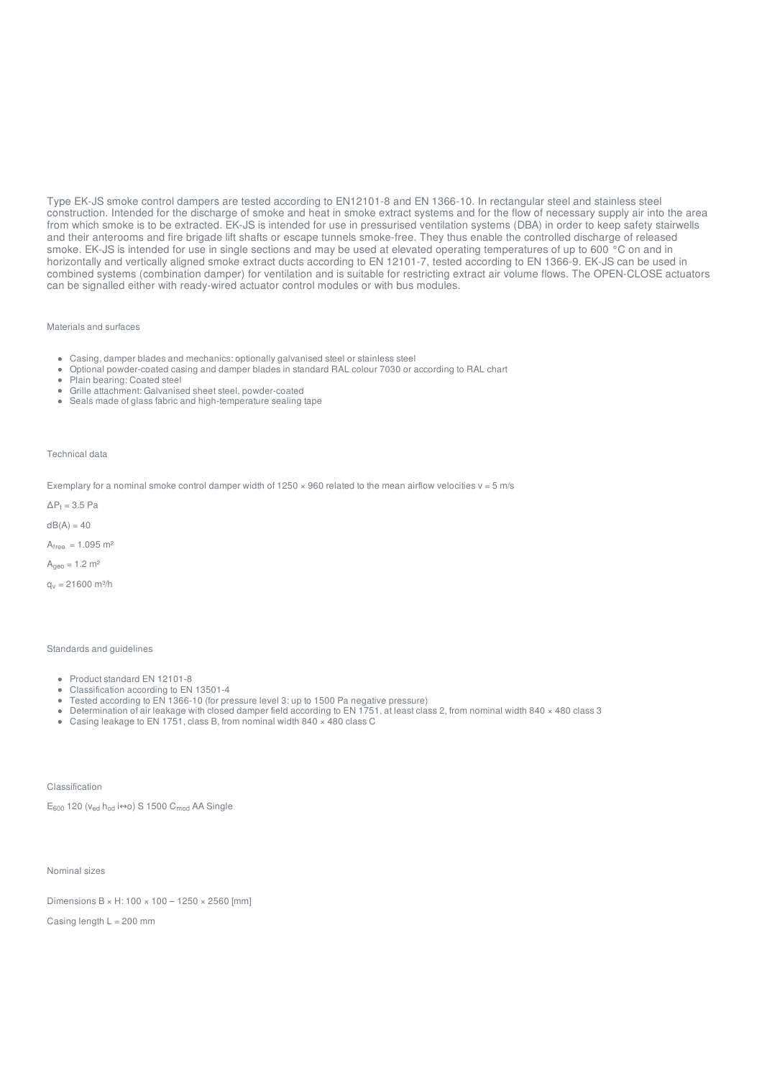Type EK-JS smoke control dampers are tested according to EN12101-8 and EN 1366-10. In rectangular steel and stainless steel construction. Intended for the discharge of smoke and heat in smoke extract systems and for the flow of necessary supply air into the area from which smoke is to be extracted. EK-JS is intended for use in pressurised ventilation systems (DBA) in order to keep safety stairwells and their anterooms and fire brigade lift shafts or escape tunnels smoke-free. They thus enable the controlled discharge of released smoke. EK-JS is intended for use in single sections and may be used at elevated operating temperatures of up to 600 °C on and in horizontally and vertically aligned smoke extract ducts according to EN 12101-7, tested according to EN 1366-9. EK-JS can be used in combined systems (combination damper) for ventilation and is suitable for restricting extract air volume flows. The OPEN-CLOSE actuators can be signalled either with ready-wired actuator control modules or with bus modules.

#### Materials and surfaces

- Casing, damper blades and mechanics: optionally galvanised steel or stainless steel
- $\bullet$ Optional powder-coated casing and damper blades in standard RAL colour 7030 or according to RAL chart
- Plain bearing: Coated steel
- Grille attachment: Galvanised sheet steel, powder-coated
- $\bullet$ Seals made of glass fabric and high-temperature sealing tape

## Technical data

Exemplary for a nominal smoke control damper width of 1250  $\times$  960 related to the mean airflow velocities  $v = 5$  m/s

 $\Delta P_t = 3.5$  Pa

 $dB(A) = 40$ 

 $A_{\text{free}} = 1.095 \text{ m}^2$ 

 $A_{geo} = 1.2 \text{ m}^2$ 

 $q_v = 21600 \text{ m}^3/\text{h}$ 

Standards and guidelines

- Product standard EN 12101-8
- Classification according to EN 13501-4
- Tested according to EN 1366-10 (for pressure level 3: up to 1500 Pa negative pressure)
- Determination of air leakage with closed damper field according to EN 1751, at least class 2, from nominal width 840 × 480 class 3
- Casing leakage to EN 1751, class B, from nominal width 840 × 480 class C

Classification

 $E_{600}$  120 (v<sub>ed</sub> h<sub>od</sub> i⇔o) S 1500 C<sub>mod</sub> AA Single

Nominal sizes

Dimensions B × H: 100 × 100 – 1250 × 2560 [mm]

Casing length  $L = 200$  mm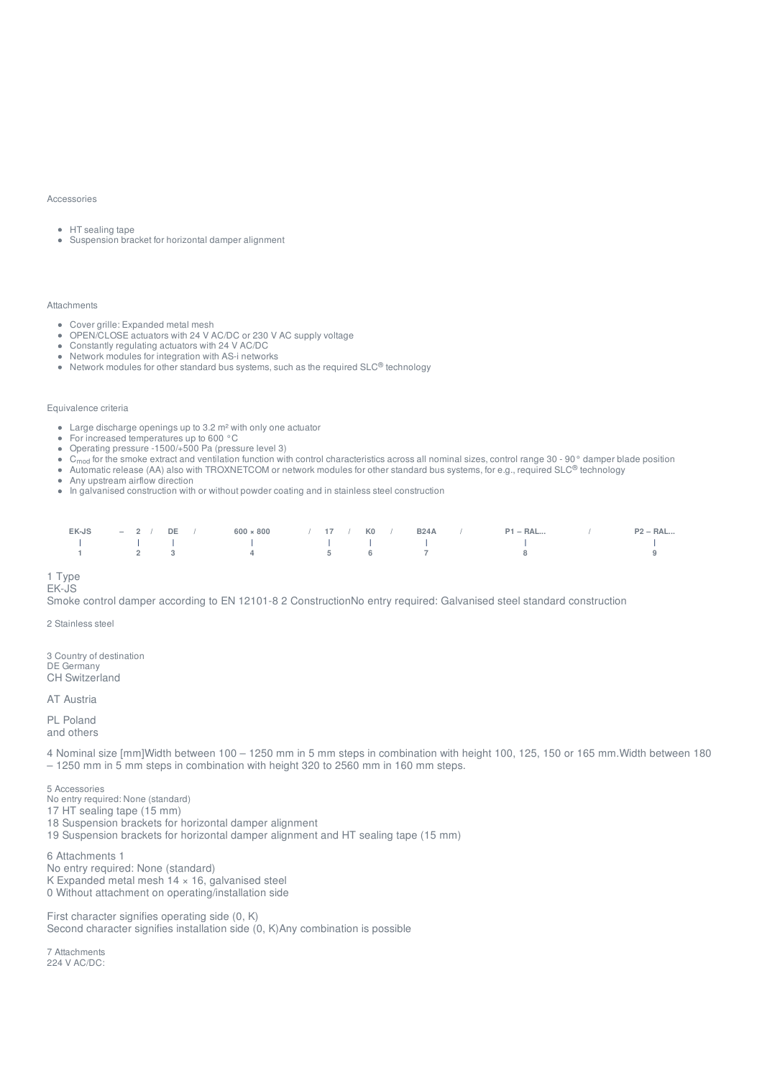#### Accessories

- HT sealing tape
- Suspension bracket for horizontal damper alignment  $\bullet$

#### **Attachments**

- Cover grille: Expanded metal mesh
- OPEN/CLOSE actuators with 24 V AC/DC or 230 V AC supply voltage
- Constantly regulating actuators with 24 V AC/DC
- Network modules for integration with AS-i networks
- Network modules for other standard bus systems, such as the required SLC $^{\circledast}$  technology

## Equivalence criteria

- Large discharge openings up to 3.2 m² with only one actuator
- For increased temperatures up to 600 °C
- $\bullet$ Operating pressure -1500/+500 Pa (pressure level 3)
- $C_{mod}$  for the smoke extract and ventilation function with control characteristics across all nominal sizes, control range 30 90° damper blade position  $\bullet$
- U<sub>mod</sub> for the shloke extract and ventilation function with control characteristics across an nominal sizes, control range 30 90 <sup>-</sup> damper bia<br>Automatic release (AA) also with TROXNETCOM or network modules for other sta  $\bullet$
- Any upstream airflow direction  $\bullet$
- $\bullet$ In galvanised construction with or without powder coating and in stainless steel construction

|  |  |  |  |  | $\frac{1}{2}$ . The contract of the contract of the contract of the contract of the contract of the contract of the contract of the contract of the contract of the contract of the contract of the contract of the contract of t |   |
|--|--|--|--|--|-----------------------------------------------------------------------------------------------------------------------------------------------------------------------------------------------------------------------------------|---|
|  |  |  |  |  | $1$ 2 3 4 5 6 7 8                                                                                                                                                                                                                 | 9 |

#### 1 Type EK-JS

Smoke control damper according to EN 12101-8 2 ConstructionNo entry required: Galvanised steel standard construction

#### 2 Stainless steel

3 Country of destination DE Germany CH Switzerland

AT Austria

PL Poland and others

4 Nominal size [mm]Width between 100 – 1250 mm in 5 mm steps in combination with height 100, 125, 150 or 165 mm.Width between 180 – 1250 mm in 5 mm steps in combination with height 320 to 2560 mm in 160 mm steps.

5 Accessories

No entry required: None (standard)

17 HT sealing tape (15 mm)

18 Suspension brackets for horizontal damper alignment

19 Suspension brackets for horizontal damper alignment and HT sealing tape (15 mm)

6 Attachments 1 No entry required: None (standard) K Expanded metal mesh  $14 \times 16$ , galvanised steel 0 Without attachment on operating/installation side

First character signifies operating side (0, K) Second character signifies installation side (0, K)Any combination is possible

7 Attachments 224 V AC/DC: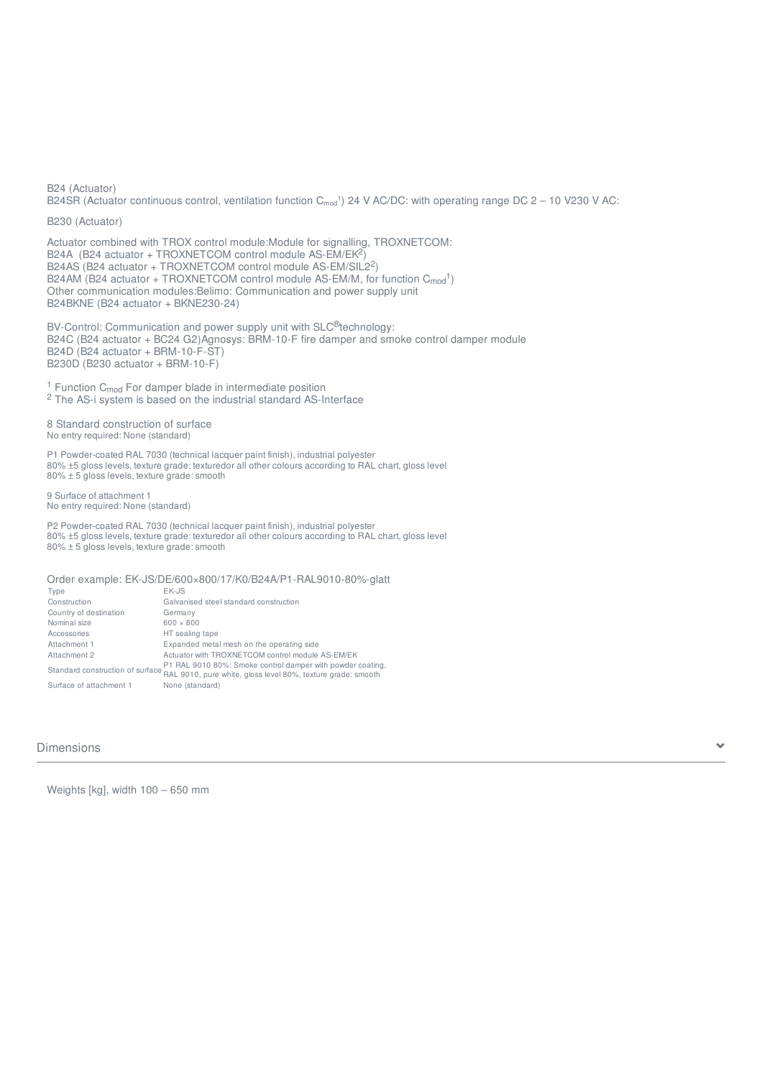B24 (Actuator)

B24SR (Actuator continuous control, ventilation function C<sub>mod</sub>1) 24 V AC/DC: with operating range DC 2 – 10 V230 V AC:

B230 (Actuator)

Actuator combined with TROX control module:Module for signalling, TROXNETCOM: B24A (B24 actuator + TROXNETCOM control module AS-EM/EK<sup>2</sup>) B24AS (B24 actuator + TROXNETCOM control module AS-EM/SIL $2^2$ ) B24AM (B24 actuator + TROXNETCOM control module AS-EM/M, for function  $C_{mod}$ <sup>1</sup>) Other communication modules:Belimo: Communication and power supply unit B24BKNE (B24 actuator + BKNE230-24)

BV-Control: Communication and power supply unit with SLC®technology: B24C (B24 actuator + BC24 G2)Agnosys: BRM-10-F fire damper and smoke control damper module B24D (B24 actuator + BRM-10-F-ST) B230D (B230 actuator + BRM-10-F)

<sup>1</sup> Function C<sub>mod</sub> For damper blade in intermediate position  $2$  The AS-i system is based on the industrial standard AS-Interface

8 Standard construction of surface No entry required: None (standard)

P1 Powder-coated RAL 7030 (technical lacquer paint finish), industrial polyester 80% ±5 gloss levels, texture grade: texturedor all other colours according to RAL chart, gloss level 80% ± 5 gloss levels, texture grade: smooth

9 Surface of attachment 1 No entry required: None (standard)

P2 Powder-coated RAL 7030 (technical lacquer paint finish), industrial polyester 80% ±5 gloss levels, texture grade: texturedor all other colours according to RAL chart, gloss level 80% ± 5 gloss levels, texture grade: smooth

Order example: EK-JS/DE/600×800/17/K0/B24A/P1-RAL9010-80%-glatt

| Type                             | EK-JS                                                                                                                      |
|----------------------------------|----------------------------------------------------------------------------------------------------------------------------|
| Construction                     | Galvanised steel standard construction                                                                                     |
| Country of destination           | Germany                                                                                                                    |
| Nominal size                     | $600 \times 800$                                                                                                           |
| Accessories                      | HT sealing tape                                                                                                            |
| Attachment 1                     | Expanded metal mesh on the operating side                                                                                  |
| Attachment 2                     | Actuator with TROXNETCOM control module AS-EM/EK                                                                           |
| Standard construction of surface | P1 RAL 9010 80%: Smoke control damper with powder coating,<br>RAL 9010, pure white, gloss level 80%, texture grade: smooth |
| Surface of attachment 1          | None (standard)                                                                                                            |

# $D$ imensions  $\bullet$

Weights [kg], width 100 – 650 mm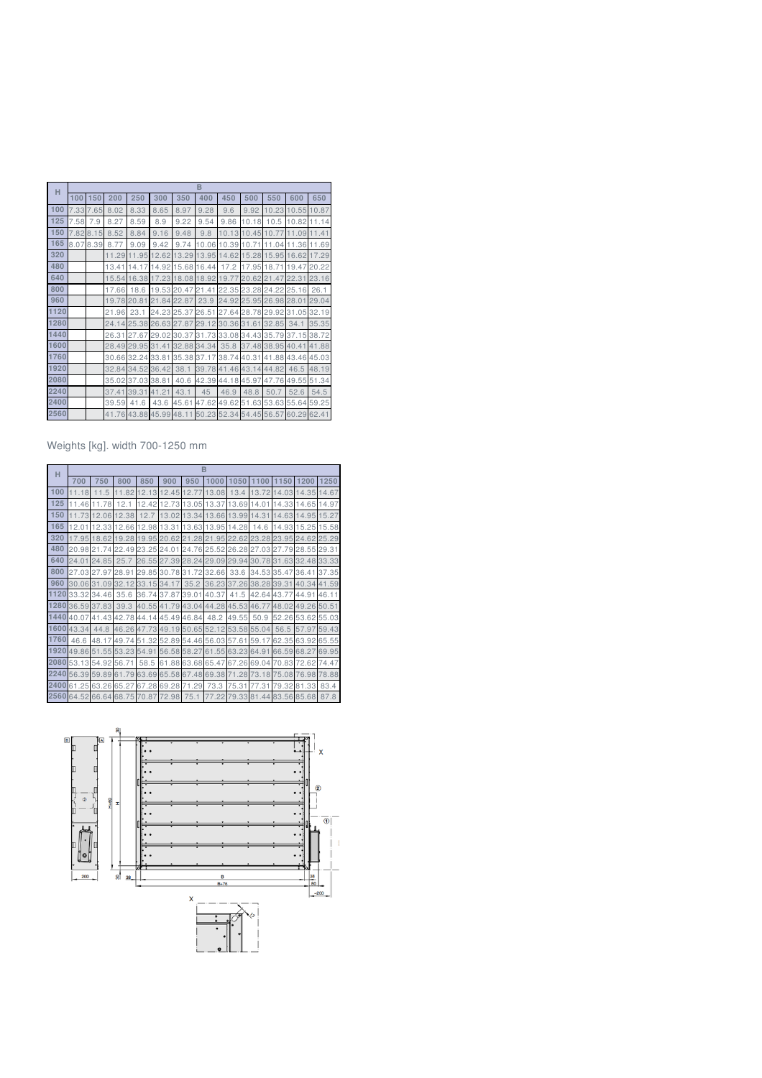|      |      |           |             |                                                             |             |       | B                       |                         |                                           |                   |                   |             |
|------|------|-----------|-------------|-------------------------------------------------------------|-------------|-------|-------------------------|-------------------------|-------------------------------------------|-------------------|-------------------|-------------|
| H    | 100  | 150       | 200         | 250                                                         | 300         | 350   | 400                     | 450                     | 500                                       | 550               | 600               | 650         |
| 100  | 7.33 | 7.65      | 8.02        | 8.33                                                        | 8.65        | 8.97  | 9.28                    | 9.6                     | 9.92                                      |                   | 10.23 10.55 10.87 |             |
| 125  | 7.58 | 7.9       | 8.27        | 8.59                                                        | 8.9         | 9.22  | 9.54                    | 9.86                    | 10.18                                     | 10.5              | 10.82             | 11.14       |
| 150  |      | 7.82 8.15 | 8.52        | 8.84                                                        | 9.16        | 9.48  | 9.8                     | 10.13                   | 10.45 10.77                               |                   | 11.09 11.41       |             |
| 165  | 8.07 | 8.39      | 8.77        | 9.09                                                        | 9.42        | 9.74  | 10.06                   | 10.39                   | 10.71                                     | 11.04             |                   | 11.36 11.69 |
| 320  |      |           | 11.29       | 11.95                                                       | 12.62       |       |                         |                         | 13.29 13.95 14.62 15.28 15.95 16.62 17.29 |                   |                   |             |
| 480  |      |           | 13.41       | 14.17                                                       |             |       | 14.92 15.68 16.44       | 17.2                    | 17.95 18.71 19.47                         |                   |                   | 20.22       |
| 640  |      |           | 15.54       | 16.38                                                       |             |       | 17.23 18.08 18.92 19.77 |                         | 20.62 21.47                               |                   | 22.31             | 23.16       |
| 800  |      |           | 17.66       | 18.6                                                        | 19.53 20.47 |       | 21.41                   |                         | 22.35 23.28 24.22 25.16                   |                   |                   | 26.1        |
| 960  |      |           | 19.78 20.81 |                                                             | 21.84 22.87 |       | 23.9                    |                         | 24.92 25.95 26.98 28.01 29.04             |                   |                   |             |
| 1120 |      |           | 21.96       | 23.1                                                        | 24.23 25.37 |       |                         |                         | 26.51 27.64 28.78 29.92 31.05 32.19       |                   |                   |             |
| 1280 |      |           |             | 24.14 25.38 26.63 27.87 29.12 30.36 31.61 32.85             |             |       |                         |                         |                                           |                   | 34.1              | 35.35       |
| 1440 |      |           | 26.31       | 27.67                                                       | 29.02 30.37 |       |                         |                         | 31.73 33.08 34.43 35.79 37.15 38.72       |                   |                   |             |
| 1600 |      |           |             | 28.49 29.95 31.41                                           |             |       | 32.88 34.34             | 35.8                    | 37.48 38.95 40.41                         |                   |                   | 41.88       |
| 1760 |      |           | 30.66 32.24 |                                                             | 33.81       |       |                         | 35.38 37.17 38.74 40.31 |                                           | 41.88 43.46 45.03 |                   |             |
| 1920 |      |           |             | 32.84 34.52 36.42                                           |             | 38.1  |                         |                         | 39.78 41.46 43.14 44.82                   |                   | 46.5              | 48.19       |
| 2080 |      |           |             | 35.02 37.03 38.81                                           |             | 40.6  |                         | 42.39 44.18 45.97       |                                           | 47.76             | 49.55 51.34       |             |
| 2240 |      |           | 37.41       | 39.31                                                       | 41.21       | 43.1  | 45                      | 46.9                    | 48.8                                      | 50.7              | 52.6              | 54.5        |
| 2400 |      |           | 39.59       | 41.6                                                        | 43.6        | 45.61 |                         |                         | 47.62 49.62 51.63 53.63 55.64 59.25       |                   |                   |             |
| 2560 |      |           |             | 41.76 43.88 45.99 48.11 50.23 52.34 54.45 56.57 60.29 62.41 |             |       |                         |                         |                                           |                   |                   |             |

Weights [kg]. width 700-1250 mm

| н    |             |                   |       |       |                                           | B     |                               |             |             |                                                                       |                   |       |
|------|-------------|-------------------|-------|-------|-------------------------------------------|-------|-------------------------------|-------------|-------------|-----------------------------------------------------------------------|-------------------|-------|
|      | 700         | 750               | 800   | 850   | 900                                       | 950   | 1000                          | 1050        | 1100        | 1150                                                                  | 1200              | 1250  |
| 100  | 18          | 11.5              | 11.82 | 12.13 | 12.45                                     | 12.77 | 13.08                         | 13.4        | 13.72       | 14.03                                                                 | 14.35             | 4.67  |
| 125  | 11.46       | 11.78             | 12.1  | 12.42 |                                           |       | 12.73 13.05 13.37 13.69 14.01 |             |             | 14.33                                                                 | 14.65             | 4.97  |
| 150  | .73         | 12.06             | 12.38 | 12.7  | 13.02                                     |       | 13.34 13.66 13.99 14.31       |             |             | 14.63                                                                 | 14.95             | 15.27 |
| 165  | 12.01       | 12.33             |       |       | 12.66 12.98 13.31 13.63 13.95 14.28       |       |                               |             | 14.6        | 14.93 15.25                                                           |                   | 15.58 |
| 320  |             | 17.95 18.62       |       |       |                                           |       |                               |             |             | 19.28 19.95 20.62 21.28 21.95 22.62 23.28 23.95 24.62 25.29           |                   |       |
| 480  | 20.98       | 21.74             |       |       |                                           |       |                               |             |             | 22.49 23.25 24.01 24.76 25.52 26.28 27.03 27.79 28.55 29.31           |                   |       |
| 640  | 24.01       | 24.85             | 25.7  |       | 26.55 27.39 28.24 29.09 29.94             |       |                               |             | 30.78       | 31.63 32.48 33.33                                                     |                   |       |
| 800  | 27.03 27.97 |                   | 28.91 |       | 29.85 30.78 31.72                         |       | 32.66                         | 33.6        | 34.53 35.47 |                                                                       | 36.41             | 37.35 |
| 960  |             |                   |       |       | 30.06 31.09 32.12 33.15 34.17             | 35.2  | 36.23 37.26 38.28 39.31       |             |             |                                                                       | 40.34 41.59       |       |
| 1120 |             | 33.32 34.46       | 35.6  |       | 36.74 37.87 39.01                         |       | 40.37                         | 41.5        | 42.64       | 43.77                                                                 | 44.91             | 46.11 |
| 1280 | 36.59 37.83 |                   | 39.3  |       | 40.55 41.79 43.04 44.28 45.53 46.77       |       |                               |             |             |                                                                       | 48.02 49.26 50.51 |       |
| 1440 | 40.07       | 41.43             |       |       | 42.78 44.14 45.49 46.84                   |       | 48.2                          | 49.55       | 50.9        |                                                                       | 52.26 53.62 55.03 |       |
| 1600 | 43.34       | 44.8              |       |       | 46.26 47.73 49.19 50.65 52.12 53.58 55.04 |       |                               |             |             | 56.5                                                                  | 57.97             | 59.43 |
| 1760 | 46.6        | 48.17             |       |       | 49.74 51.32 52.89 54.46 56.03 57.61       |       |                               |             | 59.17       | 62.35 63.92 65.55                                                     |                   |       |
| 1920 |             | 49.86 51.55 53.23 |       | 54.91 | 56.58 58.27                               |       | 61.55 63.23                   |             | 64.91       | 66.59 68.27                                                           |                   | 69.95 |
| 2080 | 53.13       | 54.92             | 56.71 | 58.5  | 61.88 63.68 65.47                         |       |                               | 67.26 69.04 |             | 70.83                                                                 | 72.62             | 74.47 |
| 2240 | 56.39       |                   |       |       | 59.89 61.79 63.69 65.58 67.48 69.38 71.28 |       |                               |             | 73.18       | 75.08                                                                 | 76.98             | 78.88 |
| 2400 |             | 61.25 63.26 65.27 |       |       | 67.28 69.28 71.29                         |       | 73.3                          | 75.31       | 77.31       | 79.32 81.33                                                           |                   | 83.4  |
|      |             |                   |       |       |                                           |       |                               |             |             | 2560 64.52 66.64 68.75 70.87 72.98 75.1 77.22 79.33 81.44 83.56 85.68 |                   | 87.8  |

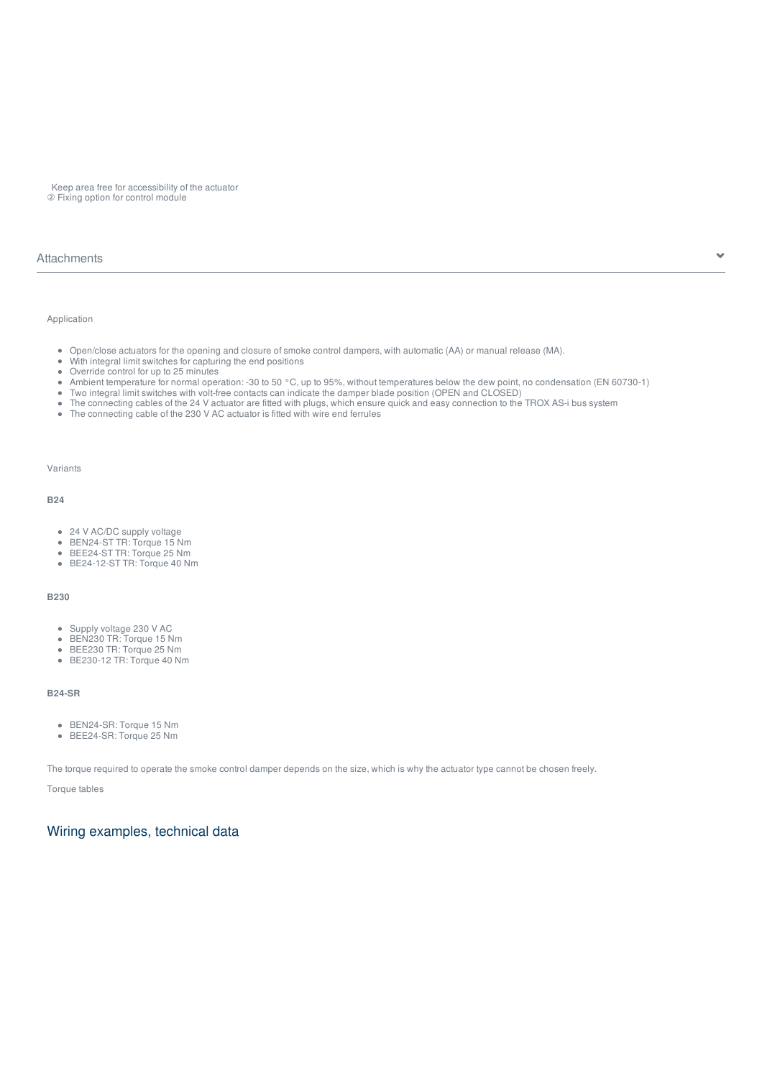Keep area free for accessibility of the actuator ② Fixing option for control module

# Attachments **Attachments**

#### Application

- Open/close actuators for the opening and closure of smoke control dampers, with automatic (AA) or manual release (MA).
- $\bullet$ With integral limit switches for capturing the end positions
- $\bullet$ Override control for up to 25 minutes
- $\bullet$ Ambient temperature for normal operation: -30 to 50 °C, up to 95%, without temperatures below the dew point, no condensation (EN 60730-1)
- $\bullet$ Two integral limit switches with volt-free contacts can indicate the damper blade position (OPEN and CLOSED)
- The connecting cables of the 24 V actuator are fitted with plugs, which ensure quick and easy connection to the TROX AS-i bus system
- The connecting cable of the 230 V AC actuator is fitted with wire end ferrules

#### Variants

### **B24**

- 24 V AC/DC supply voltage
- BEN24-ST TR: Torque 15 Nm
- BEE24-ST TR: Torque 25 Nm
- BE24-12-ST TR: Torque 40 Nm

## **B230**

- Supply voltage 230 V AC
- BEN230 TR: Torque 15 Nm
- BEE230 TR: Torque 25 Nm
- BE230-12 TR: Torque 40 Nm

## **B24-SR**

- BEN24-SR: Torque 15 Nm
- BEE24-SR: Torque 25 Nm

The torque required to operate the smoke control damper depends on the size, which is why the actuator type cannot be chosen freely.

Torque tables

# Wiring examples, technical data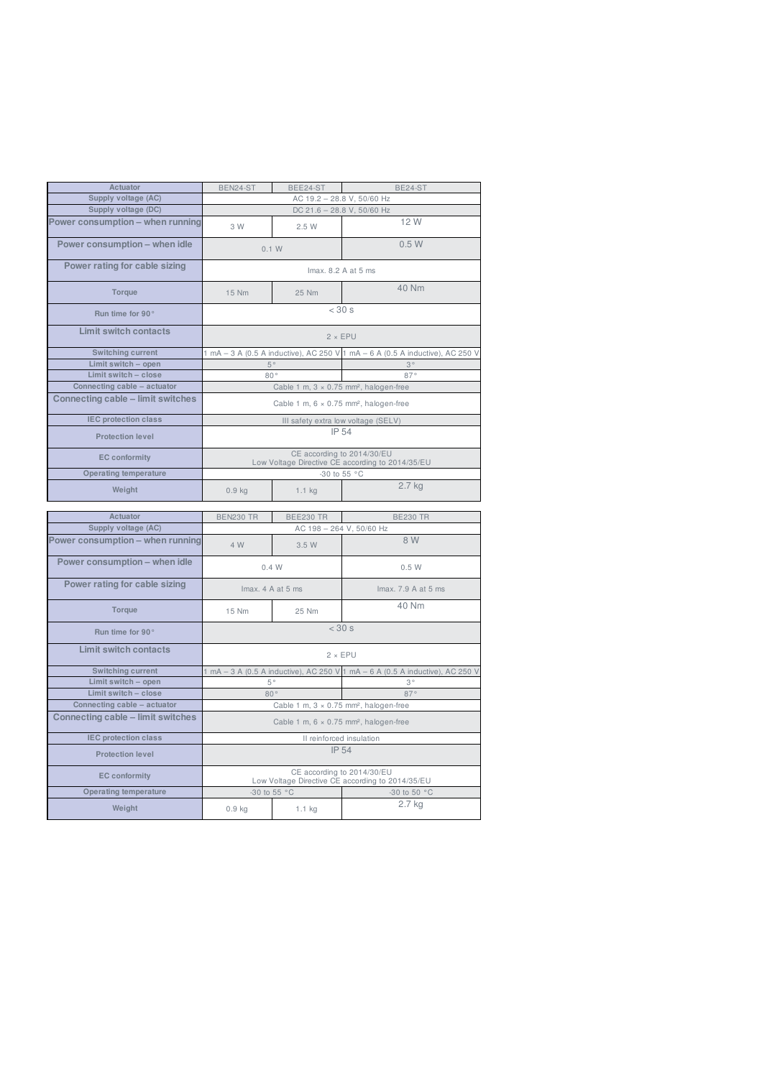| Actuator                                                |                            |                                                                                |                                                                                |  |  |  |
|---------------------------------------------------------|----------------------------|--------------------------------------------------------------------------------|--------------------------------------------------------------------------------|--|--|--|
|                                                         | BEN24-ST                   | BEE24-ST                                                                       | BE24-ST                                                                        |  |  |  |
| Supply voltage (AC)                                     | AC 19.2 - 28.8 V, 50/60 Hz |                                                                                |                                                                                |  |  |  |
| Supply voltage (DC)                                     |                            |                                                                                | DC 21.6 - 28.8 V, 50/60 Hz                                                     |  |  |  |
| Power consumption - when running                        | 3 W                        | 2.5 W                                                                          | 12 W                                                                           |  |  |  |
| Power consumption - when idle                           |                            | 0.1 W                                                                          | 0.5W                                                                           |  |  |  |
| Power rating for cable sizing                           |                            | Imax, 8.2 A at 5 ms                                                            |                                                                                |  |  |  |
| Torque                                                  | 15 Nm                      | 25 Nm                                                                          | 40 Nm                                                                          |  |  |  |
| Run time for 90°                                        |                            | $<$ 30 s                                                                       |                                                                                |  |  |  |
| <b>Limit switch contacts</b>                            |                            | $2 \times$ EPU                                                                 |                                                                                |  |  |  |
| <b>Switching current</b>                                |                            |                                                                                | 1 mA - 3 A (0.5 A inductive), AC 250 V 1 mA - 6 A (0.5 A inductive), AC 250 V  |  |  |  |
| Limit switch - open                                     |                            | $5^{\circ}$                                                                    | $3^{\circ}$                                                                    |  |  |  |
| Limit switch - close                                    |                            | 80°                                                                            | 87°                                                                            |  |  |  |
| Connecting cable - actuator                             |                            |                                                                                | Cable 1 m, $3 \times 0.75$ mm <sup>2</sup> , halogen-free                      |  |  |  |
| Connecting cable - limit switches                       |                            | Cable 1 m, $6 \times 0.75$ mm <sup>2</sup> , halogen-free                      |                                                                                |  |  |  |
| <b>IEC protection class</b>                             |                            | III safety extra low voltage (SELV)                                            |                                                                                |  |  |  |
| <b>Protection level</b>                                 |                            | <b>IP 54</b>                                                                   |                                                                                |  |  |  |
| <b>EC</b> conformity                                    |                            | CE according to 2014/30/EU<br>Low Voltage Directive CE according to 2014/35/EU |                                                                                |  |  |  |
| <b>Operating temperature</b>                            |                            | -30 to 55 °C                                                                   |                                                                                |  |  |  |
| Weight                                                  | $0.9$ kg                   | $1.1$ kg                                                                       | $2.7$ kg                                                                       |  |  |  |
|                                                         |                            |                                                                                |                                                                                |  |  |  |
| Actuator                                                |                            |                                                                                |                                                                                |  |  |  |
|                                                         | BEN230 TR                  | BEE230 TR                                                                      | <b>BE230 TR</b>                                                                |  |  |  |
| Supply voltage (AC)<br>Power consumption - when running | 4 W                        | AC 198 - 264 V, 50/60 Hz<br>3.5W                                               | 8 W                                                                            |  |  |  |
| Power consumption - when idle                           |                            | 0.4 W                                                                          | 0.5W                                                                           |  |  |  |
| Power rating for cable sizing                           |                            | Imax. 4 A at 5 ms                                                              | Imax. 7.9 A at 5 ms                                                            |  |  |  |
| Torque                                                  | 15 Nm                      | 25 Nm                                                                          | 40 Nm                                                                          |  |  |  |
| Run time for 90°                                        |                            | $<$ 30 s                                                                       |                                                                                |  |  |  |
| <b>Limit switch contacts</b>                            |                            | $2 \times EPU$                                                                 |                                                                                |  |  |  |
| Switching current                                       |                            |                                                                                | 1 mA - 3 A (0.5 A inductive), AC 250 V 1 mA - 6 A (0.5 A inductive), AC 250 V  |  |  |  |
| Limit switch - open                                     |                            | $5^{\circ}$                                                                    | $3^{\circ}$                                                                    |  |  |  |
| Limit switch - close                                    |                            | 80°                                                                            | 87°                                                                            |  |  |  |
| Connecting cable - actuator                             |                            | Cable 1 m, $3 \times 0.75$ mm <sup>2</sup> , halogen-free                      |                                                                                |  |  |  |
| Connecting cable - limit switches                       |                            | Cable 1 m, $6 \times 0.75$ mm <sup>2</sup> , halogen-free                      |                                                                                |  |  |  |
| <b>IEC protection class</b>                             |                            | Il reinforced insulation                                                       |                                                                                |  |  |  |
| <b>Protection level</b>                                 |                            | <b>IP 54</b>                                                                   |                                                                                |  |  |  |
| <b>EC</b> conformity                                    |                            |                                                                                | CE according to 2014/30/EU<br>Low Voltage Directive CE according to 2014/35/EU |  |  |  |
| Operating temperature                                   |                            | -30 to 55 °C                                                                   | -30 to 50 °C                                                                   |  |  |  |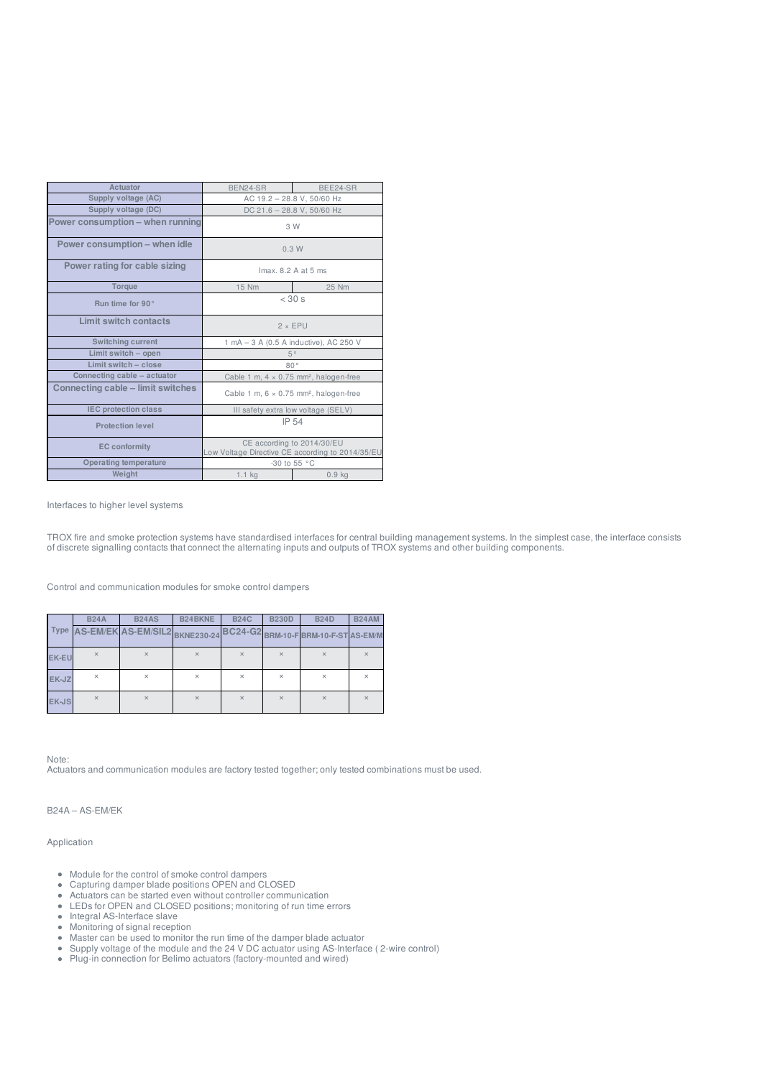| Actuator                          | BEN24-SR                                                                       | BEE24-SR                   |  |  |  |
|-----------------------------------|--------------------------------------------------------------------------------|----------------------------|--|--|--|
| Supply voltage (AC)               | AC 19.2 - 28.8 V, 50/60 Hz                                                     |                            |  |  |  |
| Supply voltage (DC)               |                                                                                | DC 21.6 - 28.8 V, 50/60 Hz |  |  |  |
| Power consumption - when running  |                                                                                | 3 W                        |  |  |  |
| Power consumption - when idle     |                                                                                | 0.3 W                      |  |  |  |
| Power rating for cable sizing     | Imax. 8.2 A at 5 ms                                                            |                            |  |  |  |
| <b>Torque</b>                     | 15 Nm                                                                          | 25 Nm                      |  |  |  |
| Run time for 90°                  | $<$ 30 s                                                                       |                            |  |  |  |
| Limit switch contacts             | $2 \times$ EPU                                                                 |                            |  |  |  |
| Switching current                 | 1 mA - 3 A (0.5 A inductive), AC 250 V                                         |                            |  |  |  |
| Limit switch - open               | 50                                                                             |                            |  |  |  |
| Limit switch - close              | 80°                                                                            |                            |  |  |  |
| Connecting cable - actuator       | Cable 1 m, $4 \times 0.75$ mm <sup>2</sup> , halogen-free                      |                            |  |  |  |
| Connecting cable - limit switches | Cable 1 m, $6 \times 0.75$ mm <sup>2</sup> , halogen-free                      |                            |  |  |  |
| <b>IEC protection class</b>       | III safety extra low voltage (SELV)                                            |                            |  |  |  |
| <b>Protection level</b>           | IP 54                                                                          |                            |  |  |  |
| <b>EC</b> conformity              | CE according to 2014/30/EU<br>Low Voltage Directive CE according to 2014/35/EU |                            |  |  |  |
| Operating temperature             | -30 to 55 °C                                                                   |                            |  |  |  |
| Weight                            | $1.1$ kg<br>0.9 <sub>kg</sub>                                                  |                            |  |  |  |

## Interfaces to higher level systems

TROX fire and smoke protection systems have standardised interfaces for central building management systems. In the simplest case, the interface consists of discrete signalling contacts that connect the alternating inputs and outputs of TROX systems and other building components.

Control and communication modules for smoke control dampers

|              | <b>B24A</b> | <b>B24AS</b>                        | <b>B24BKNE</b> | <b>B24C</b> | <b>B230D</b> | <b>B24D</b>                          | <b>B24AM</b> |
|--------------|-------------|-------------------------------------|----------------|-------------|--------------|--------------------------------------|--------------|
|              |             | Type AS-EM/EK AS-EM/SIL2 BKNE230-24 |                |             |              | BC24-G2 BRM-10-F BRM-10-F-ST AS-EM/M |              |
| <b>EK-EU</b> | $\times$    | $\times$                            | $\times$       | $\times$    | $\times$     | $\times$                             | $\times$     |
| EK-JZ        | $\times$    | $\times$                            | $\times$       | $\times$    | $\times$     | $\times$                             | $\times$     |
| <b>EK-JS</b> | $\times$    | $\times$                            | $\times$       | $\times$    | $\times$     | $\times$                             | $\times$     |

#### Note:

Actuators and communication modules are factory tested together; only tested combinations must be used.

## B24A – AS-EM/EK

#### Application

- Module for the control of smoke control dampers
- Capturing damper blade positions OPEN and CLOSED
- Actuators can be started even without controller communication  $\bullet$
- LEDs for OPEN and CLOSED positions; monitoring of run time errors
- Integral AS-Interface slave
- Monitoring of signal reception
- $\bullet$ Master can be used to monitor the run time of the damper blade actuator
- $\bullet$ Supply voltage of the module and the 24 V DC actuator using AS-Interface ( 2-wire control)
- $\bullet$ Plug-in connection for Belimo actuators (factory-mounted and wired)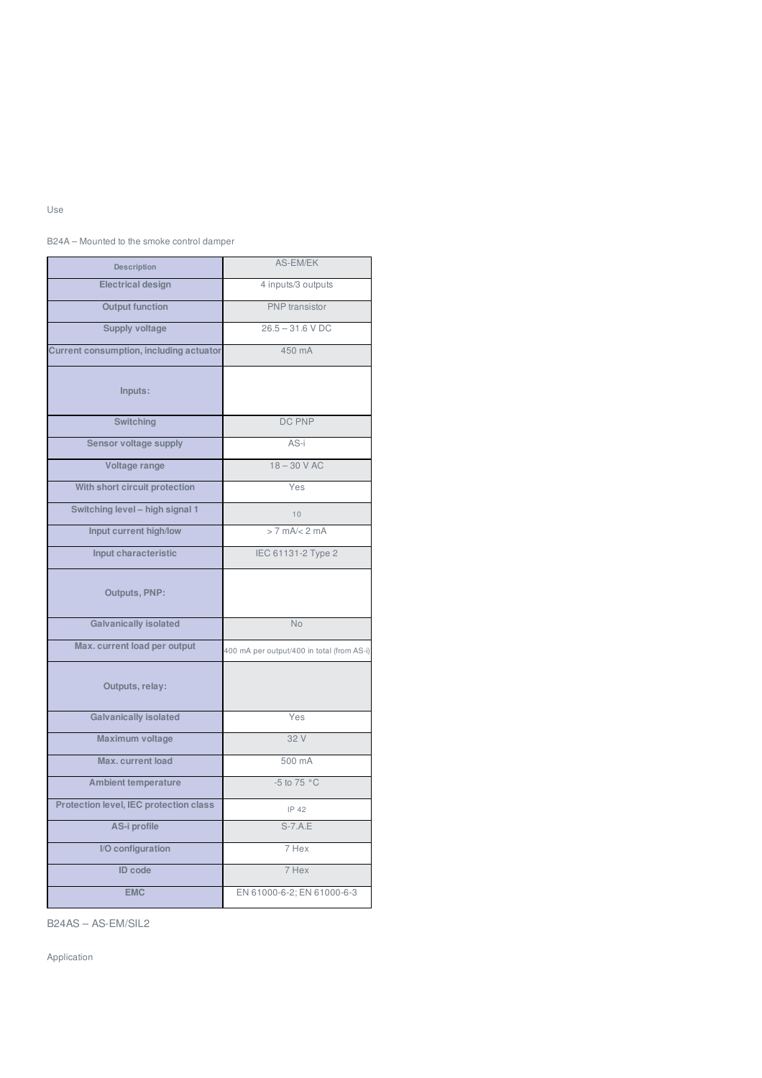| B24A - Mounted to the smoke control damper |  |  |  |
|--------------------------------------------|--|--|--|

| Description                                    | AS-EM/EK                                   |
|------------------------------------------------|--------------------------------------------|
| <b>Electrical design</b>                       | 4 inputs/3 outputs                         |
| <b>Output function</b>                         | PNP transistor                             |
| <b>Supply voltage</b>                          | $26.5 - 31.6$ V DC                         |
| <b>Current consumption, including actuator</b> | 450 mA                                     |
| Inputs:                                        |                                            |
| <b>Switching</b>                               | DC PNP                                     |
| Sensor voltage supply                          | AS-i                                       |
| Voltage range                                  | $18 - 30$ V AC                             |
| With short circuit protection                  | Yes                                        |
| Switching level - high signal 1                | 10                                         |
| Input current high/low                         | $> 7$ mA/ $< 2$ mA                         |
| Input characteristic                           | IEC 61131-2 Type 2                         |
| Outputs, PNP:                                  |                                            |
| Galvanically isolated                          | <b>No</b>                                  |
| Max. current load per output                   | 400 mA per output/400 in total (from AS-i) |
| Outputs, relay:                                |                                            |
| Galvanically isolated                          | Yes                                        |
| Maximum voltage                                | 32 V                                       |
| Max. current load                              | 500 mA                                     |
| <b>Ambient temperature</b>                     | -5 to 75 °C                                |
| Protection level, IEC protection class         | IP 42                                      |
| AS-i profile                                   | $S-7.A.E$                                  |
| I/O configuration                              | 7 Hex                                      |
| <b>ID</b> code                                 | 7 Hex                                      |
| <b>EMC</b>                                     | EN 61000-6-2; EN 61000-6-3                 |

B24AS – AS-EM/SIL2

Application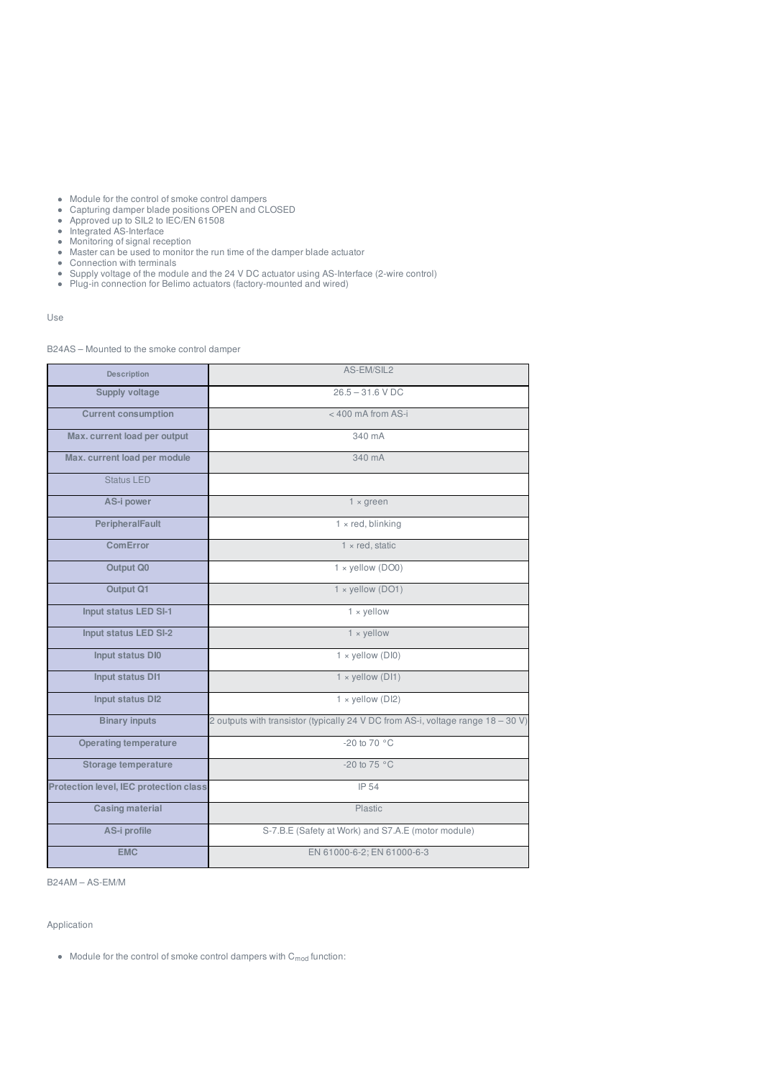- Module for the control of smoke control dampers
- Capturing damper blade positions OPEN and CLOSED
- Approved up to SIL2 to IEC/EN 61508
- Integrated AS-Interface
- Monitoring of signal reception Master can be used to monitor the run time of the damper blade actuator
- Connection with terminals
- Supply voltage of the module and the 24 V DC actuator using AS-Interface (2-wire control)
- Plug-in connection for Belimo actuators (factory-mounted and wired)

Use

B24AS – Mounted to the smoke control damper

| Description                            | AS-EM/SIL2                                                                       |
|----------------------------------------|----------------------------------------------------------------------------------|
| <b>Supply voltage</b>                  | $26.5 - 31.6$ V DC                                                               |
| <b>Current consumption</b>             | $<$ 400 mA from AS-i                                                             |
| Max. current load per output           | 340 mA                                                                           |
| Max. current load per module           | 340 mA                                                                           |
| <b>Status LED</b>                      |                                                                                  |
| AS-i power                             | $1 \times$ green                                                                 |
| PeripheralFault                        | $1 \times$ red, blinking                                                         |
| <b>ComError</b>                        | $1 \times$ red, static                                                           |
| Output Q0                              | $1 \times$ yellow (DO0)                                                          |
| <b>Output Q1</b>                       | $1 \times$ yellow (DO1)                                                          |
| Input status LED SI-1                  | $1 \times$ yellow                                                                |
| Input status LED SI-2                  | $1 \times$ yellow                                                                |
| <b>Input status DI0</b>                | $1 \times$ yellow (DI0)                                                          |
| <b>Input status DI1</b>                | $1 \times$ yellow (DI1)                                                          |
| <b>Input status DI2</b>                | $1 \times$ yellow (DI2)                                                          |
| <b>Binary inputs</b>                   | 2 outputs with transistor (typically 24 V DC from AS-i, voltage range 18 - 30 V) |
| <b>Operating temperature</b>           | -20 to 70 $°C$                                                                   |
| Storage temperature                    | -20 to 75 $^{\circ}$ C                                                           |
| Protection level, IEC protection class | IP 54                                                                            |
| <b>Casing material</b>                 | Plastic                                                                          |
| AS-i profile                           | S-7.B.E (Safety at Work) and S7.A.E (motor module)                               |
| <b>EMC</b>                             | EN 61000-6-2; EN 61000-6-3                                                       |

B24AM – AS-EM/M

Application

 $\bullet$  Module for the control of smoke control dampers with  $C_{\text{mod}}$  function: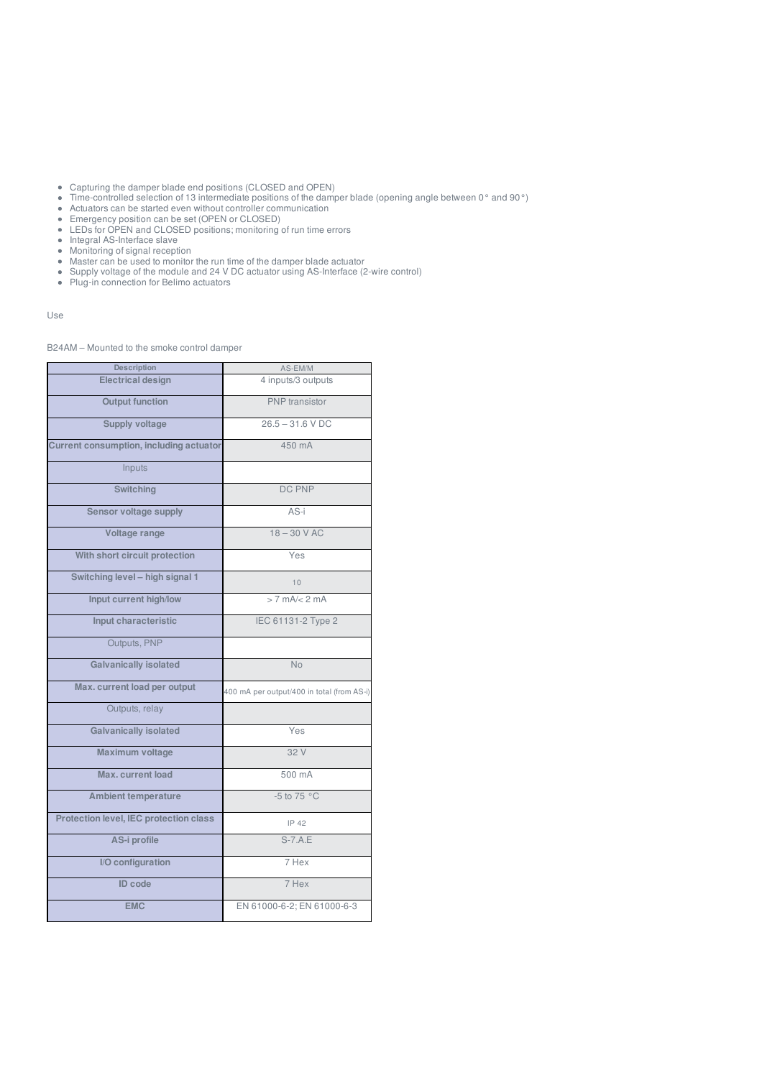- $\bullet$ Capturing the damper blade end positions (CLOSED and OPEN)
- $\hat{\bullet}$ Time-controlled selection of 13 intermediate positions of the damper blade (opening angle between 0° and 90°)
- $\ddot{\phantom{0}}$ Actuators can be started even without controller communication
- $\hat{\bullet}$ Emergency position can be set (OPEN or CLOSED)
- $\bullet$ LEDs for OPEN and CLOSED positions; monitoring of run time errors  $\bullet$ Integral AS-Interface slave
- $\bullet$ Monitoring of signal reception
- $\bullet$ Master can be used to monitor the run time of the damper blade actuator
- $\bullet$ Supply voltage of the module and 24 V DC actuator using AS-Interface (2-wire control)
- Plug-in connection for Belimo actuators

Use

B24AM – Mounted to the smoke control damper

| Description                             | AS-EM/M                                    |
|-----------------------------------------|--------------------------------------------|
| <b>Electrical design</b>                | 4 inputs/3 outputs                         |
| <b>Output function</b>                  | <b>PNP</b> transistor                      |
| Supply voltage                          | $26.5 - 31.6$ V DC                         |
| Current consumption, including actuator | 450 mA                                     |
| Inputs                                  |                                            |
| Switching                               | <b>DC PNP</b>                              |
| Sensor voltage supply                   | AS-i                                       |
| Voltage range                           | $18 - 30$ V AC                             |
| With short circuit protection           | Yes                                        |
| Switching level - high signal 1         | 10                                         |
| Input current high/low                  | $>7$ mA/ $<$ 2 mA                          |
| Input characteristic                    | IEC 61131-2 Type 2                         |
| Outputs, PNP                            |                                            |
| <b>Galvanically isolated</b>            | <b>No</b>                                  |
| Max. current load per output            | 400 mA per output/400 in total (from AS-i) |
| Outputs, relay                          |                                            |
| Galvanically isolated                   | Yes                                        |
| <b>Maximum voltage</b>                  | 32 V                                       |
| Max. current load                       | 500 mA                                     |
| <b>Ambient temperature</b>              | -5 to 75 °C                                |
| Protection level, IEC protection class  | IP 42                                      |
| <b>AS-i profile</b>                     | $S-7.A.E$                                  |
| I/O configuration                       | 7 Hex                                      |
| <b>ID</b> code                          | 7 Hex                                      |
| <b>EMC</b>                              | EN 61000-6-2; EN 61000-6-3                 |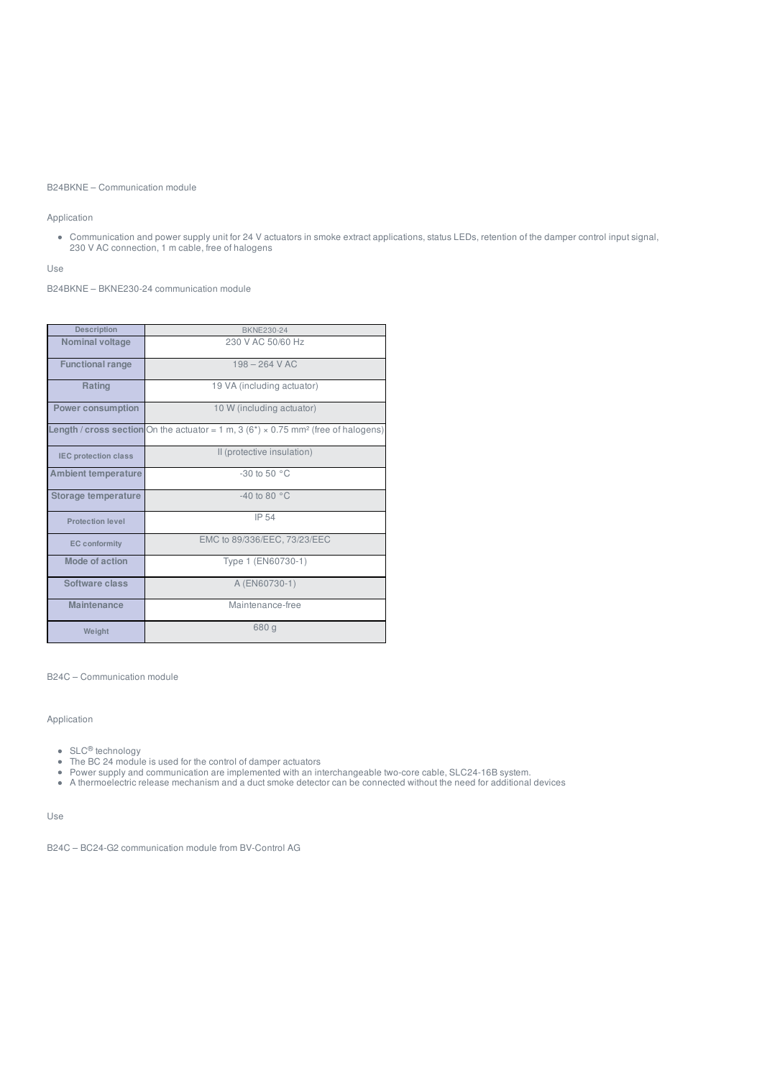## B24BKNE – Communication module

## Application

Communication and power supply unit for 24 V actuators in smoke extract applications, status LEDs, retention of the damper control input signal, 230 V AC connection, 1 m cable, free of halogens

Use

B24BKNE – BKNE230-24 communication module

| <b>Description</b>          | BKNE230-24                                                                                                       |
|-----------------------------|------------------------------------------------------------------------------------------------------------------|
| <b>Nominal voltage</b>      | 230 V AC 50/60 Hz                                                                                                |
| <b>Functional range</b>     | $198 - 264$ V AC                                                                                                 |
| Rating                      | 19 VA (including actuator)                                                                                       |
| <b>Power consumption</b>    | 10 W (including actuator)                                                                                        |
|                             | <b>Length / cross section</b> On the actuator = 1 m, 3 ( $6*$ ) $\times$ 0.75 mm <sup>2</sup> (free of halogens) |
| <b>IEC protection class</b> | Il (protective insulation)                                                                                       |
| <b>Ambient temperature</b>  | -30 to 50 $\degree$ C                                                                                            |
| Storage temperature         | $-40$ to 80 °C                                                                                                   |
| <b>Protection level</b>     | <b>IP 54</b>                                                                                                     |
| <b>EC</b> conformity        | EMC to 89/336/EEC, 73/23/EEC                                                                                     |
| Mode of action              | Type 1 (EN60730-1)                                                                                               |
| Software class              | A (EN60730-1)                                                                                                    |
| <b>Maintenance</b>          | Maintenance-free                                                                                                 |
| Weight                      | 680 g                                                                                                            |

B24C – Communication module

## Application

- SLC® technology
- $\bullet$ The BC 24 module is used for the control of damper actuators
- Power supply and communication are implemented with an interchangeable two-core cable, SLC24-16B system.
- A thermoelectric release mechanism and a duct smoke detector can be connected without the need for additional devices

## Use

B24C – BC24-G2 communication module from BV-Control AG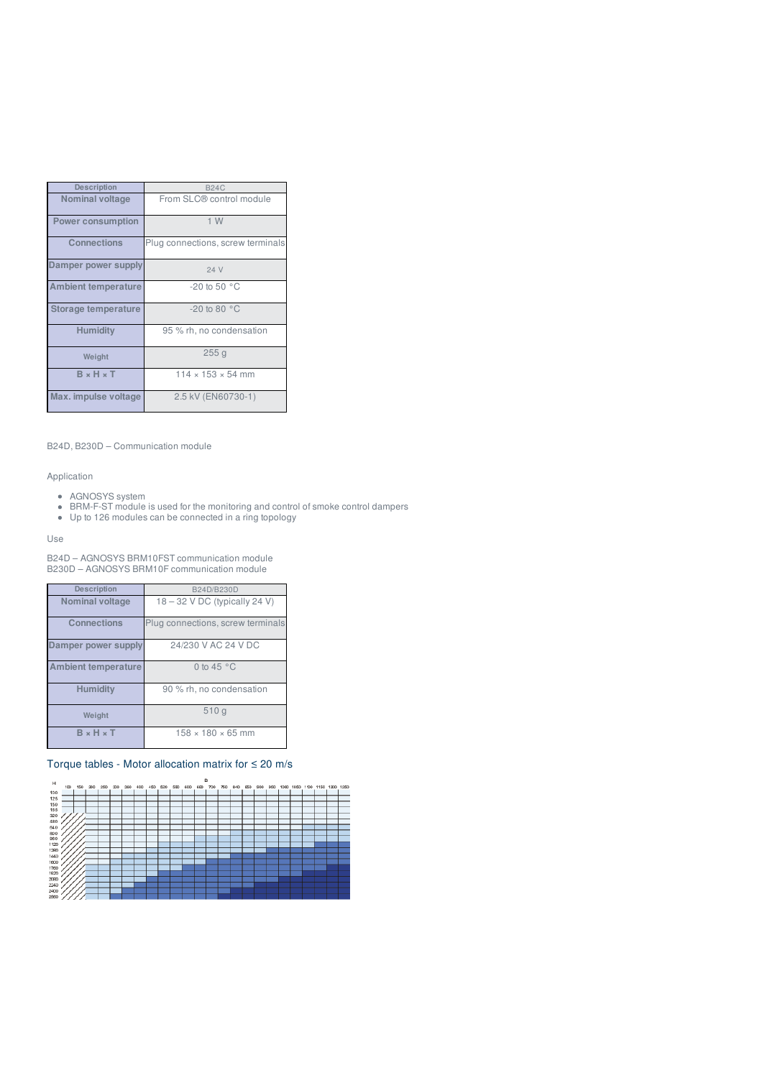| <b>Description</b>         | <b>B24C</b>                       |
|----------------------------|-----------------------------------|
| Nominal voltage            | From SLC® control module          |
| <b>Power consumption</b>   | 1 W                               |
| <b>Connections</b>         | Plug connections, screw terminals |
| Damper power supply        | 24 V                              |
| <b>Ambient temperature</b> | $-20$ to 50 $^{\circ}$ C          |
| Storage temperature        | $-20$ to 80 $^{\circ}$ C          |
| <b>Humidity</b>            | 95 % rh, no condensation          |
| Weight                     | 255q                              |
| $B \times H \times T$      | $114 \times 153 \times 54$ mm     |
| Max. impulse voltage       | 2.5 kV (EN60730-1)                |

B24D, B230D – Communication module

## Application

- AGNOSYS system
- BRM-F-ST module is used for the monitoring and control of smoke control dampers
- Up to 126 modules can be connected in a ring topology

## Use

#### B24D – AGNOSYS BRM10FST communication module B230D – AGNOSYS BRM10F communication module

| <b>Description</b>         | B24D/B230D                        |
|----------------------------|-----------------------------------|
| <b>Nominal voltage</b>     | 18 - 32 V DC (typically 24 V)     |
| <b>Connections</b>         | Plug connections, screw terminals |
| Damper power supply        | 24/230 V AC 24 V DC               |
| <b>Ambient temperature</b> | 0 to 45 $\degree$ C               |
| <b>Humidity</b>            | 90 % rh, no condensation          |
| Weight                     | 510q                              |
| $B \times H \times T$      | $158 \times 180 \times 65$ mm     |

# Torque tables - Motor allocation matrix for ≤ 20 m/s

| н    |     | B<br>1050 1100 1150 1200 |     |     |     |     |     |     |     |     |     |     |     |     |     |     |     |     |      |  |  |      |
|------|-----|--------------------------|-----|-----|-----|-----|-----|-----|-----|-----|-----|-----|-----|-----|-----|-----|-----|-----|------|--|--|------|
|      | 100 | 150                      | 200 | 250 | 300 | 360 | 400 | 450 | 520 | 560 | 600 | 680 | 700 | 750 | 840 | 850 | 900 | 950 | 1000 |  |  | 1250 |
| 100  |     |                          |     |     |     |     |     |     |     |     |     |     |     |     |     |     |     |     |      |  |  |      |
| 125  |     |                          |     |     |     |     |     |     |     |     |     |     |     |     |     |     |     |     |      |  |  |      |
| 150  |     |                          |     |     |     |     |     |     |     |     |     |     |     |     |     |     |     |     |      |  |  |      |
| 165  |     |                          |     |     |     |     |     |     |     |     |     |     |     |     |     |     |     |     |      |  |  |      |
| 320  |     |                          |     |     |     |     |     |     |     |     |     |     |     |     |     |     |     |     |      |  |  |      |
| 480  |     |                          |     |     |     |     |     |     |     |     |     |     |     |     |     |     |     |     |      |  |  |      |
| 640  |     |                          |     |     |     |     |     |     |     |     |     |     |     |     |     |     |     |     |      |  |  |      |
| 800  |     |                          |     |     |     |     |     |     |     |     |     |     |     |     |     |     |     |     |      |  |  |      |
| 960  |     |                          |     |     |     |     |     |     |     |     |     |     |     |     |     |     |     |     |      |  |  |      |
| 1120 |     |                          |     |     |     |     |     |     |     |     |     |     |     |     |     |     |     |     |      |  |  |      |
| 1280 |     |                          |     |     |     |     |     |     |     |     |     |     |     |     |     |     |     |     |      |  |  |      |
| 1440 |     |                          |     |     |     |     |     |     |     |     |     |     |     |     |     |     |     |     |      |  |  |      |
| 1600 |     |                          |     |     |     |     |     |     |     |     |     |     |     |     |     |     |     |     |      |  |  |      |
| 1760 |     |                          |     |     |     |     |     |     |     |     |     |     |     |     |     |     |     |     |      |  |  |      |
| 1920 |     |                          |     |     |     |     |     |     |     |     |     |     |     |     |     |     |     |     |      |  |  |      |
| 2080 |     |                          |     |     |     |     |     |     |     |     |     |     |     |     |     |     |     |     |      |  |  |      |
| 2240 |     |                          |     |     |     |     |     |     |     |     |     |     |     |     |     |     |     |     |      |  |  |      |
| 2400 |     |                          |     |     |     |     |     |     |     |     |     |     |     |     |     |     |     |     |      |  |  |      |
| 2560 | ∕   |                          |     |     |     |     |     |     |     |     |     |     |     |     |     |     |     |     |      |  |  |      |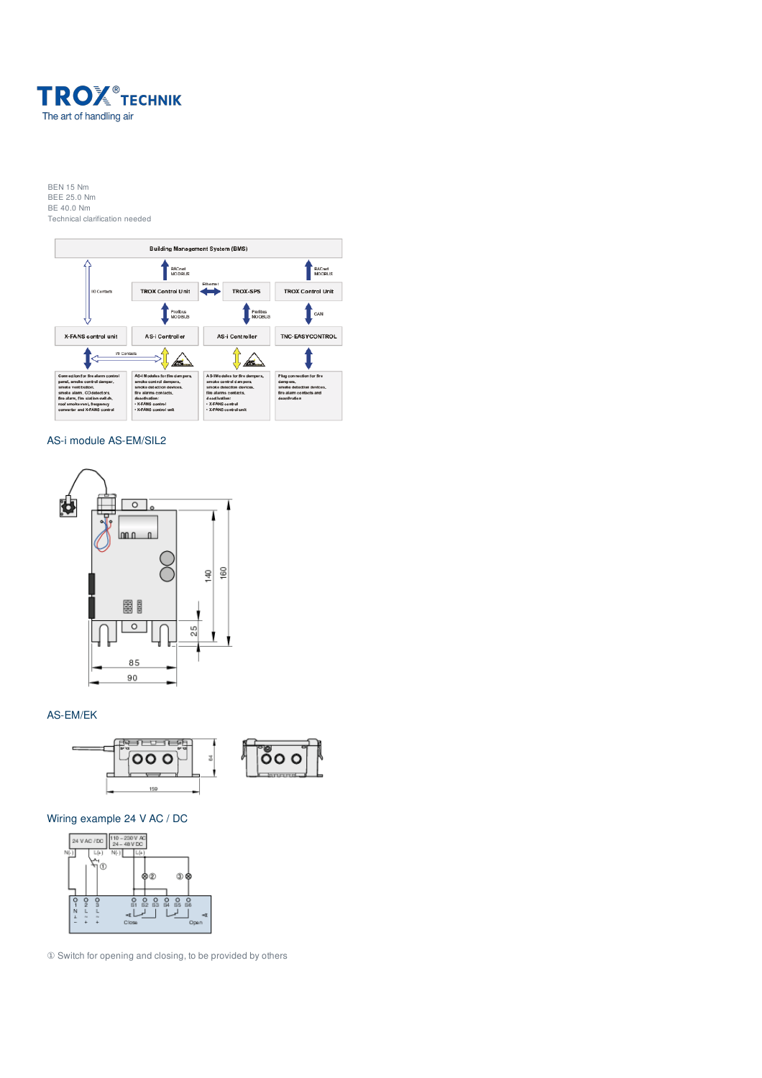

BEN 15 Nm BEE 25.0 Nm BE 40.0 Nm Technical clarification needed



# AS-i module AS-EM/SIL2



## AS-EM/EK





# Wiring example 24 V AC / DC



① Switch for opening and closing, to be provided by others